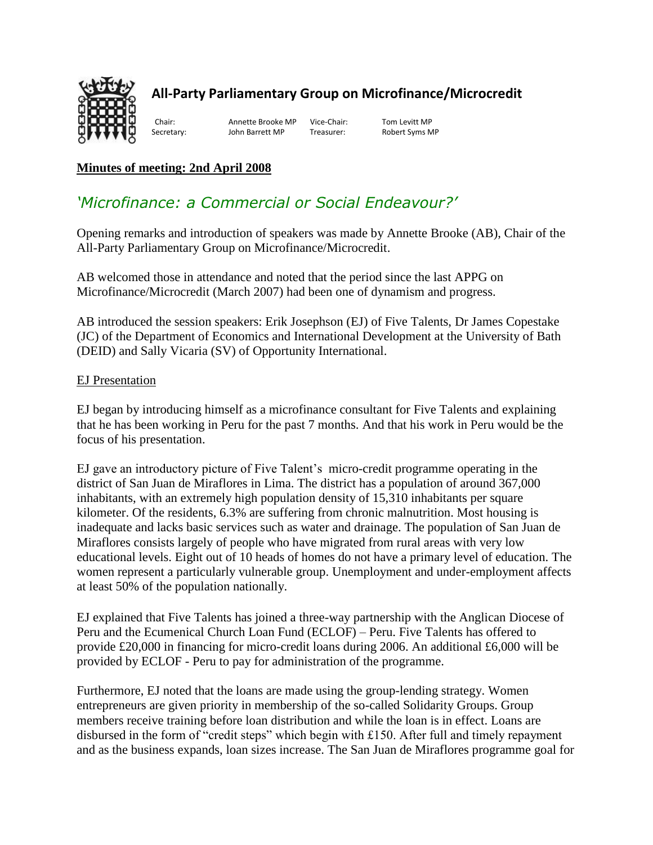

## **All-Party Parliamentary Group on Microfinance/Microcredit**

Chair: Annette Brooke MP Vice-Chair: Tom Levitt MP Secretary: Secretary: John Barrett MP Treasurer: Robert Syms MP

Ï

## **Minutes of meeting: 2nd April 2008**

# *'Microfinance: a Commercial or Social Endeavour?'*

Opening remarks and introduction of speakers was made by Annette Brooke (AB), Chair of the All-Party Parliamentary Group on Microfinance/Microcredit.

AB welcomed those in attendance and noted that the period since the last APPG on Microfinance/Microcredit (March 2007) had been one of dynamism and progress.

AB introduced the session speakers: Erik Josephson (EJ) of Five Talents, Dr James Copestake (JC) of the Department of Economics and International Development at the University of Bath (DEID) and Sally Vicaria (SV) of Opportunity International.

#### EJ Presentation

EJ began by introducing himself as a microfinance consultant for Five Talents and explaining that he has been working in Peru for the past 7 months. And that his work in Peru would be the focus of his presentation.

EJ gave an introductory picture of Five Talent's micro-credit programme operating in the district of San Juan de Miraflores in Lima. The district has a population of around 367,000 inhabitants, with an extremely high population density of 15,310 inhabitants per square kilometer. Of the residents, 6.3% are suffering from chronic malnutrition. Most housing is inadequate and lacks basic services such as water and drainage. The population of San Juan de Miraflores consists largely of people who have migrated from rural areas with very low educational levels. Eight out of 10 heads of homes do not have a primary level of education. The women represent a particularly vulnerable group. Unemployment and under-employment affects at least 50% of the population nationally.

EJ explained that Five Talents has joined a three-way partnership with the Anglican Diocese of Peru and the Ecumenical Church Loan Fund (ECLOF) – Peru. Five Talents has offered to provide £20,000 in financing for micro-credit loans during 2006. An additional £6,000 will be provided by ECLOF - Peru to pay for administration of the programme.

Furthermore, EJ noted that the loans are made using the group-lending strategy. Women entrepreneurs are given priority in membership of the so-called Solidarity Groups. Group members receive training before loan distribution and while the loan is in effect. Loans are disbursed in the form of "credit steps" which begin with £150. After full and timely repayment and as the business expands, loan sizes increase. The San Juan de Miraflores programme goal for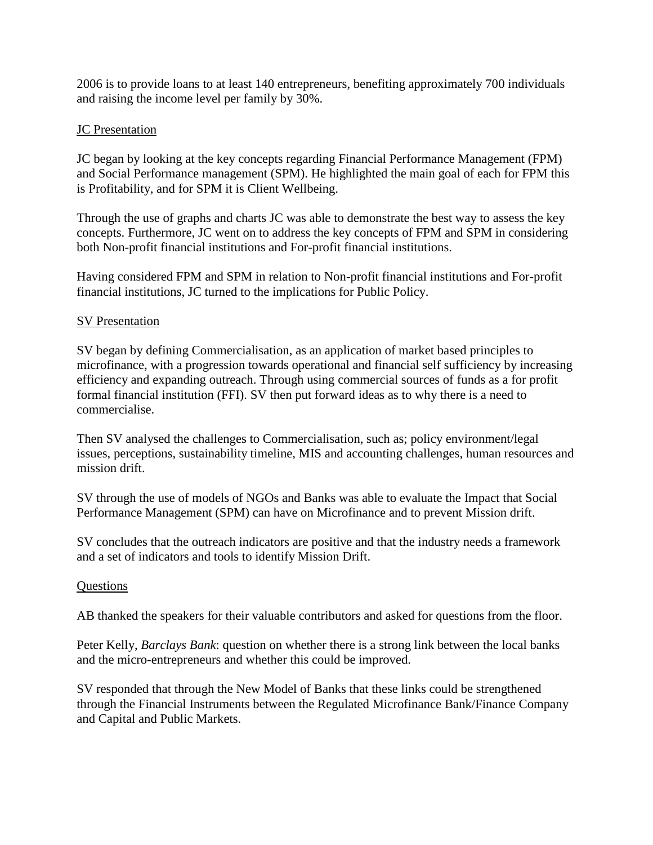2006 is to provide loans to at least 140 entrepreneurs, benefiting approximately 700 individuals and raising the income level per family by 30%.

### JC Presentation

JC began by looking at the key concepts regarding Financial Performance Management (FPM) and Social Performance management (SPM). He highlighted the main goal of each for FPM this is Profitability, and for SPM it is Client Wellbeing.

Through the use of graphs and charts JC was able to demonstrate the best way to assess the key concepts. Furthermore, JC went on to address the key concepts of FPM and SPM in considering both Non-profit financial institutions and For-profit financial institutions.

Having considered FPM and SPM in relation to Non-profit financial institutions and For-profit financial institutions, JC turned to the implications for Public Policy.

#### SV Presentation

SV began by defining Commercialisation, as an application of market based principles to microfinance, with a progression towards operational and financial self sufficiency by increasing efficiency and expanding outreach. Through using commercial sources of funds as a for profit formal financial institution (FFI). SV then put forward ideas as to why there is a need to commercialise.

Then SV analysed the challenges to Commercialisation, such as; policy environment/legal issues, perceptions, sustainability timeline, MIS and accounting challenges, human resources and mission drift.

SV through the use of models of NGOs and Banks was able to evaluate the Impact that Social Performance Management (SPM) can have on Microfinance and to prevent Mission drift.

SV concludes that the outreach indicators are positive and that the industry needs a framework and a set of indicators and tools to identify Mission Drift.

#### **Questions**

AB thanked the speakers for their valuable contributors and asked for questions from the floor.

Peter Kelly, *Barclays Bank*: question on whether there is a strong link between the local banks and the micro-entrepreneurs and whether this could be improved.

SV responded that through the New Model of Banks that these links could be strengthened through the Financial Instruments between the Regulated Microfinance Bank/Finance Company and Capital and Public Markets.